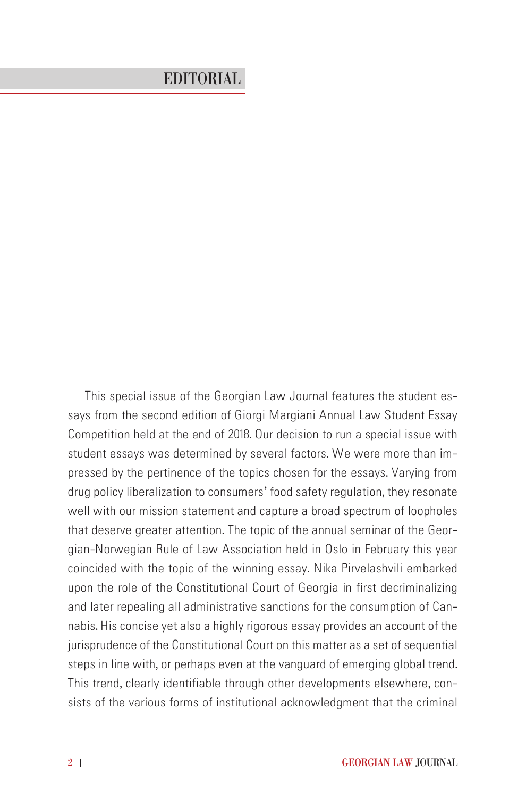## EDITORIAL

*This special issue of the Georgian Law Journal features the student essays from the second edition of Giorgi Margiani Annual Law Student Essay Competition held at the end of 2018. Our decision to run a special issue with student essays was determined by several factors. We were more than impressed by the pertinence of the topics chosen for the essays. Varying from drug policy liberalization to consumers' food safety regulation, they resonate well with our mission statement and capture a broad spectrum of loopholes that deserve greater attention. The topic of the annual seminar of the Georgian-Norwegian Rule of Law Association held in Oslo in February this year coincided with the topic of the winning essay. Nika Pirvelashvili embarked upon the role of the Constitutional Court of Georgia in first decriminalizing and later repealing all administrative sanctions for the consumption of Cannabis. His concise yet also a highly rigorous essay provides an account of the jurisprudence of the Constitutional Court on this matter as a set of sequential steps in line with, or perhaps even at the vanguard of emerging global trend. This trend, clearly identifiable through other developments elsewhere, consists of the various forms of institutional acknowledgment that the criminal*